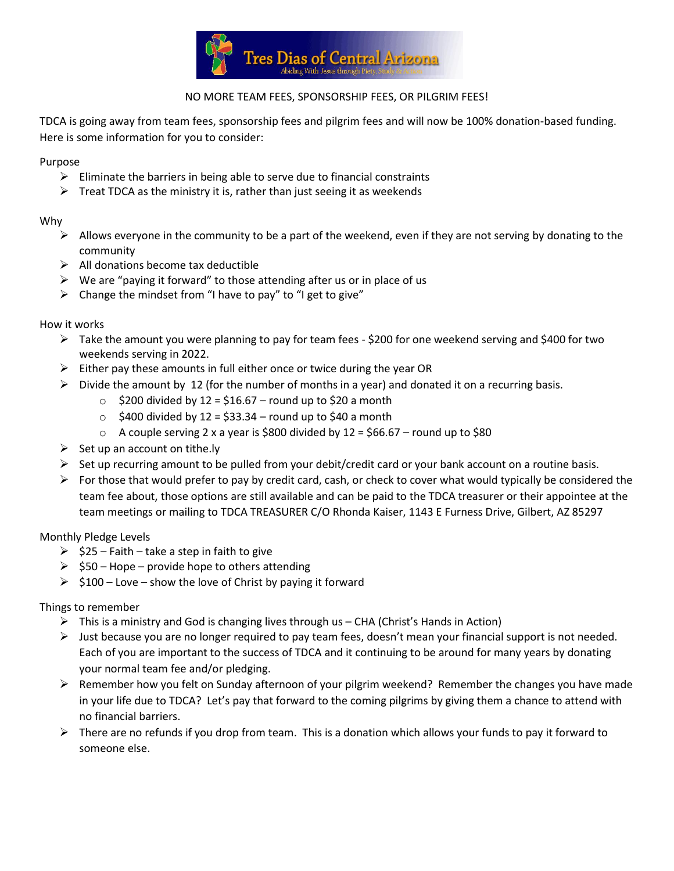

# NO MORE TEAM FEES, SPONSORSHIP FEES, OR PILGRIM FEES!

TDCA is going away from team fees, sponsorship fees and pilgrim fees and will now be 100% donation-based funding. Here is some information for you to consider:

#### Purpose

- $\triangleright$  Eliminate the barriers in being able to serve due to financial constraints
- $\triangleright$  Treat TDCA as the ministry it is, rather than just seeing it as weekends

## Why

- $\triangleright$  Allows everyone in the community to be a part of the weekend, even if they are not serving by donating to the community
- $\triangleright$  All donations become tax deductible
- $\triangleright$  We are "paying it forward" to those attending after us or in place of us
- $\triangleright$  Change the mindset from "I have to pay" to "I get to give"

## How it works

- ➢ Take the amount you were planning to pay for team fees \$200 for one weekend serving and \$400 for two weekends serving in 2022.
- $\triangleright$  Either pay these amounts in full either once or twice during the year OR
- $\triangleright$  Divide the amount by 12 (for the number of months in a year) and donated it on a recurring basis.
	- $\circ$  \$200 divided by 12 = \$16.67 round up to \$20 a month
	- $\circ$  \$400 divided by 12 = \$33.34 round up to \$40 a month
	- $\circ$  A couple serving 2 x a year is \$800 divided by 12 = \$66.67 round up to \$80
- $\triangleright$  Set up an account on tithe.ly
- $\triangleright$  Set up recurring amount to be pulled from your debit/credit card or your bank account on a routine basis.
- ➢ For those that would prefer to pay by credit card, cash, or check to cover what would typically be considered the team fee about, those options are still available and can be paid to the TDCA treasurer or their appointee at the team meetings or mailing to TDCA TREASURER C/O Rhonda Kaiser, 1143 E Furness Drive, Gilbert, AZ 85297

## Monthly Pledge Levels

- $\geq$  \$25 Faith take a step in faith to give
- $\geq$  \$50 Hope provide hope to others attending
- $\geq$  \$100 Love show the love of Christ by paying it forward

## Things to remember

- $\triangleright$  This is a ministry and God is changing lives through us CHA (Christ's Hands in Action)
- ➢ Just because you are no longer required to pay team fees, doesn't mean your financial support is not needed. Each of you are important to the success of TDCA and it continuing to be around for many years by donating your normal team fee and/or pledging.
- $\triangleright$  Remember how you felt on Sunday afternoon of your pilgrim weekend? Remember the changes you have made in your life due to TDCA? Let's pay that forward to the coming pilgrims by giving them a chance to attend with no financial barriers.
- $\triangleright$  There are no refunds if you drop from team. This is a donation which allows your funds to pay it forward to someone else.